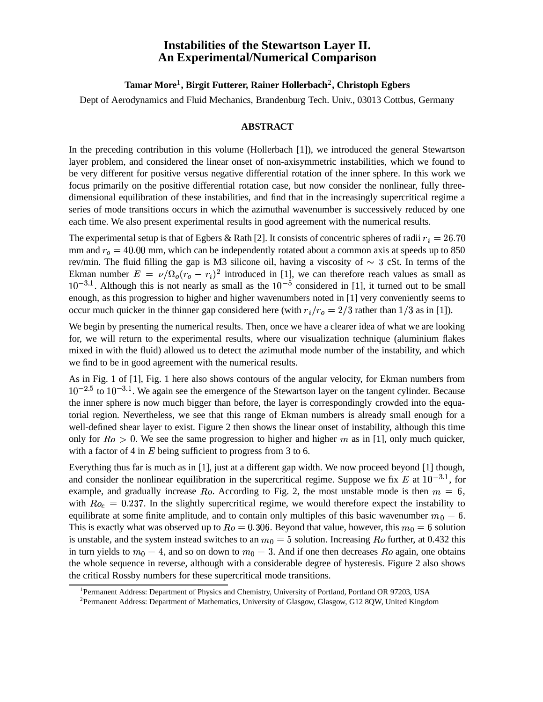## **Instabilities of the Stewartson Layer II. An Experimental/Numerical Comparison**

## **Tamar More** 1 **, Birgit Futterer, Rainer Hollerbach**<sup>2</sup> **, Christoph Egbers**

Dept of Aerodynamics and Fluid Mechanics, Brandenburg Tech. Univ., 03013 Cottbus, Germany

## **ABSTRACT**

In the preceding contribution in this volume (Hollerbach [1]), we introduced the general Stewartson layer problem, and considered the linear onset of non-axisymmetric instabilities, which we found to be very different for positive versus negative differential rotation of the inner sphere. In this work we focus primarily on the positive differential rotation case, but now consider the nonlinear, fully threedimensional equilibration of these instabilities, and find that in the increasingly supercritical regime a series of mode transitions occurs in which the azimuthal wavenumber is successively reduced by one each time. We also present experimental results in good agreement with the numerical results.

The experimental setup is that of Egbers & Rath [2]. It consists of concentric spheres of radii  $r_i = 26.70$ mm and  $r<sub>o</sub> = 40.00$  mm, which can be independently rotated about a common axis at speeds up to 850 rev/min. The fluid filling the gap is M3 silicone oil, having a viscosity of  $\sim$  3 cSt. In terms of the Ekman number  $E = \nu/\Omega_o (r_o - r_i)^2$  introduced in [1], we can therefore reach values as small as  $10^{-3.1}$ . Although this is not nearly as small as the  $10^{-5}$  considered in [1], it turned out to be small enough, as this progression to higher and higher wavenumbers noted in [1] very conveniently seems to occur much quicker in the thinner gap considered here (with  $r_i/r_o = 2/3$  rather than 1/3 as in [1]).

We begin by presenting the numerical results. Then, once we have a clearer idea of what we are looking for, we will return to the experimental results, where our visualization technique (aluminium flakes mixed in with the fluid) allowed us to detect the azimuthal mode number of the instability, and which we find to be in good agreement with the numerical results.

As in Fig. 1 of [1], Fig. 1 here also shows contours of the angular velocity, for Ekman numbers from  $10^{-2.5}$  to  $10^{-3.1}$ . We again see the emergence of the Stewartson layer on the tangent cylinder. Because the inner sphere is now much bigger than before, the layer is correspondingly crowded into the equatorial region. Nevertheless, we see that this range of Ekman numbers is already small enough for a well-defined shear layer to exist. Figure 2 then shows the linear onset of instability, although this time only for  $Ro > 0$ . We see the same progression to higher and higher m as in [1], only much quicker, with a factor of 4 in  $E$  being sufficient to progress from 3 to 6.

Everything thus far is much as in [1], just at a different gap width. We now proceed beyond [1] though, and consider the nonlinear equilibration in the supercritical regime. Suppose we fix E at  $10^{-3.1}$ , for example, and gradually increase Ro. According to Fig. 2, the most unstable mode is then  $m = 6$ , with  $Ro_c = 0.237$ . In the slightly supercritical regime, we would therefore expect the instability to equilibrate at some finite amplitude, and to contain only multiples of this basic wavenumber  $m_0 = 6$ . This is exactly what was observed up to  $Ro = 0.306$ . Beyond that value, however, this  $m_0 = 6$  solution is unstable, and the system instead switches to an  $m_0 = 5$  solution. Increasing Ro further, at 0.432 this in turn yields to  $m_0 = 4$ , and so on down to  $m_0 = 3$ . And if one then decreases  $Ro$  again, one obtains the whole sequence in reverse, although with a considerable degree of hysteresis. Figure 2 also shows the critical Rossby numbers for these supercritical mode transitions.

<sup>&</sup>lt;sup>1</sup>Permanent Address: Department of Physics and Chemistry, University of Portland, Portland OR 97203, USA

<sup>&</sup>lt;sup>2</sup> Permanent Address: Department of Mathematics, University of Glasgow, Glasgow, G12 8QW, United Kingdom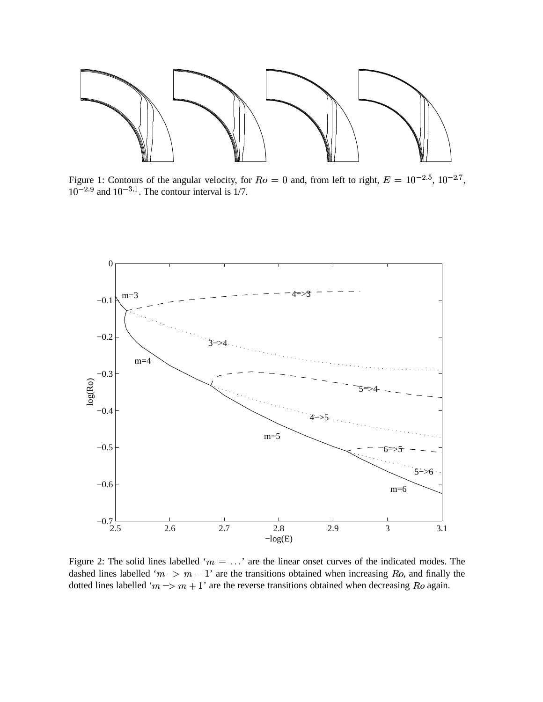

Figure 1: Contours of the angular velocity, for  $Ro = 0$  and, from left to right,  $E = 10^{-2.5}$ ,  $10^{-2.7}$ ,  $10^{-2.9}$  and  $10^{-3.1}$ . The contour interval is 1/7.



Figure 2: The solid lines labelled ' $m = \ldots$ ' are the linear onset curves of the indicated modes. The dashed lines labelled ' $m \rightarrow m - 1$ ' are the transitions obtained when increasing Ro, and finally the dotted lines labelled ' $m \rightarrow m + 1$ ' are the reverse transitions obtained when decreasing Ro again.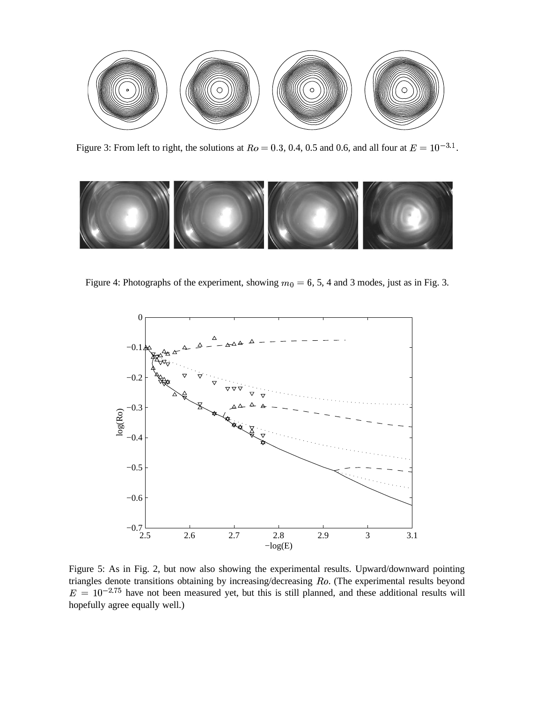

Figure 3: From left to right, the solutions at  $Ro = 0.3$ , 0.4, 0.5 and 0.6, and all four at  $E = 10^{-3.1}$ .



Figure 4: Photographs of the experiment, showing  $m_0 = 6$ , 5, 4 and 3 modes, just as in Fig. 3.



Figure 5: As in Fig. 2, but now also showing the experimental results. Upward/downward pointing triangles denote transitions obtaining by increasing/decreasing Ro. (The experimental results beyond  $E = 10^{-2.75}$  have not been measured yet, but this is still planned, and these additional results will hopefully agree equally well.)